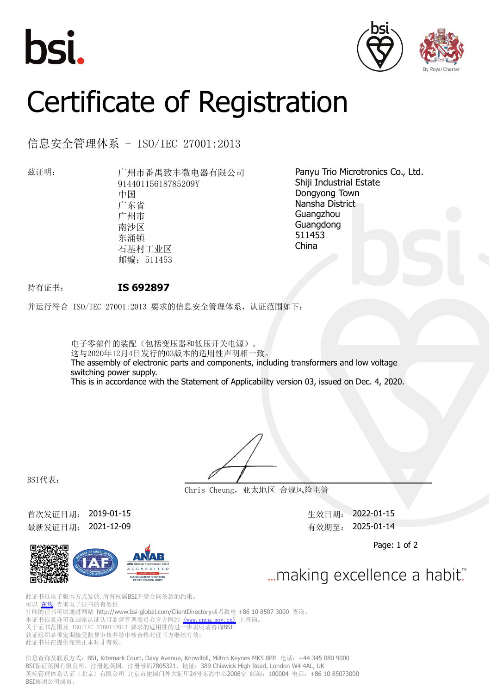





## Certificate of Registration

信息安全管理体系 - ISO/IEC 27001:2013

兹证明: 广州市番禺致丰微电器有限公司 91440115618785209Y 中国 广东省 广州市 南沙区 东涌镇 石基村工业区 邮编: 511453

Panyu Trio Microtronics Co., Ltd. Shiji Industrial Estate Dongyong Town Nansha District Guangzhou Guangdong 511453 China

## 持有证书: **IS 692897**

并运行符合 ISO/IEC 27001:2013 要求的信息安全管理体系,认证范围如下:

电子零部件的装配(包括变压器和低压开关电源)。 这与2020年12月4日发行的03版本的适用性声明相一致。 The assembly of electronic parts and components, including transformers and low voltage switching power supply. This is in accordance with the Statement of Applicability version 03, issued on Dec. 4, 2020.

BSI代表:

**Chris Cheung,亚太地区 合规风险主管**

首次发证日期: 2019-01-15 2022-01-15 2022-01-15 最新发证日期: 2021-12-09 有效期至: 2025-01-14



Page: 1 of 2

... making excellence a habit."

此证书以电子版本方式发放,所有权属BSI并受合同条款的约束。 可以 [在线](https://pgplus.bsigroup.com/CertificateValidation/CertificateValidator.aspx?CertificateNumber=IS+692897&ReIssueDate=09%2f12%2f2021&Template=cn) 查询电子证书的有效性 打印的证书可以通过网站 http://www.bsi-global.com/ClientDirectory或者致电 +86 10 8507 3000 查询。 本证书信息亦可在国家认证认可监督管理委员会官方网站 [\(www.cnca.gov.cn\)](www.cnca.gov.cn) 上查询。 关于证书范围及 ISO/IEC 27001:2013 要求的适用性的进一步说明请咨询BSI。 人, 盖卡尼出会 ---.<br>获证组织必须定期接受监督审核并经审核合格此证书方继续有效。 此证书只在提供完整正本时才有效。

信息查询及联系方式: BSI, Kitemark Court, Davy Avenue, Knowlhill, Milton Keynes MK5 8PP. 电话: +44 345 080 9000 BSI保证英国有限公司,注册地英国,注册号码7805321,地址: 389 Chiswick High Road, London W4 4AL, UK 英标管理体系认证(北京)有限公司 北京市建国门外大街甲24号东海中心2008室 邮编: 100004 电话: +86 10 85073000 BSI集团公司成员。